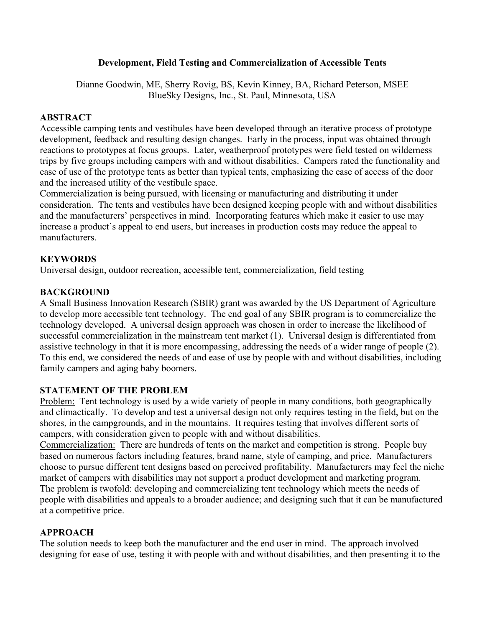## **Development, Field Testing and Commercialization of Accessible Tents**

Dianne Goodwin, ME, Sherry Rovig, BS, Kevin Kinney, BA, Richard Peterson, MSEE BlueSky Designs, Inc., St. Paul, Minnesota, USA

## **ABSTRACT**

Accessible camping tents and vestibules have been developed through an iterative process of prototype development, feedback and resulting design changes. Early in the process, input was obtained through reactions to prototypes at focus groups. Later, weatherproof prototypes were field tested on wilderness trips by five groups including campers with and without disabilities. Campers rated the functionality and ease of use of the prototype tents as better than typical tents, emphasizing the ease of access of the door and the increased utility of the vestibule space.

Commercialization is being pursued, with licensing or manufacturing and distributing it under consideration. The tents and vestibules have been designed keeping people with and without disabilities and the manufacturers' perspectives in mind. Incorporating features which make it easier to use may increase a product's appeal to end users, but increases in production costs may reduce the appeal to manufacturers.

## **KEYWORDS**

Universal design, outdoor recreation, accessible tent, commercialization, field testing

## **BACKGROUND**

A Small Business Innovation Research (SBIR) grant was awarded by the US Department of Agriculture to develop more accessible tent technology. The end goal of any SBIR program is to commercialize the technology developed. A universal design approach was chosen in order to increase the likelihood of successful commercialization in the mainstream tent market (1). Universal design is differentiated from assistive technology in that it is more encompassing, addressing the needs of a wider range of people (2). To this end, we considered the needs of and ease of use by people with and without disabilities, including family campers and aging baby boomers.

## **STATEMENT OF THE PROBLEM**

Problem: Tent technology is used by a wide variety of people in many conditions, both geographically and climactically. To develop and test a universal design not only requires testing in the field, but on the shores, in the campgrounds, and in the mountains. It requires testing that involves different sorts of campers, with consideration given to people with and without disabilities.

Commercialization: There are hundreds of tents on the market and competition is strong. People buy based on numerous factors including features, brand name, style of camping, and price. Manufacturers choose to pursue different tent designs based on perceived profitability. Manufacturers may feel the niche market of campers with disabilities may not support a product development and marketing program. The problem is twofold: developing and commercializing tent technology which meets the needs of people with disabilities and appeals to a broader audience; and designing such that it can be manufactured at a competitive price.

## **APPROACH**

The solution needs to keep both the manufacturer and the end user in mind. The approach involved designing for ease of use, testing it with people with and without disabilities, and then presenting it to the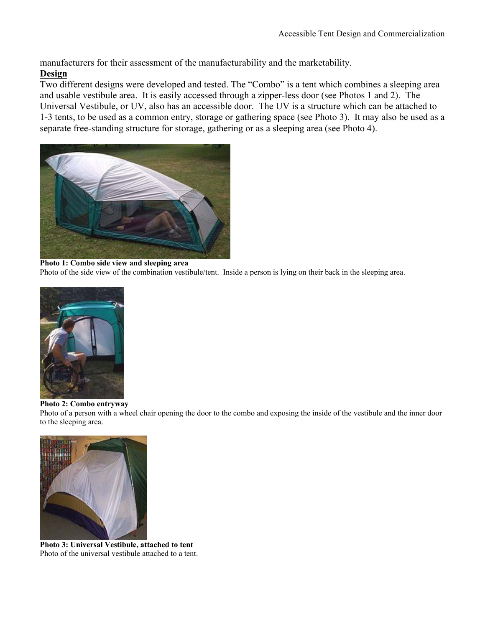manufacturers for their assessment of the manufacturability and the marketability.

## **Design**

Two different designs were developed and tested. The "Combo" is a tent which combines a sleeping area and usable vestibule area. It is easily accessed through a zipper-less door (see Photos 1 and 2). The Universal Vestibule, or UV, also has an accessible door. The UV is a structure which can be attached to 1-3 tents, to be used as a common entry, storage or gathering space (see Photo 3). It may also be used as a separate free-standing structure for storage, gathering or as a sleeping area (see Photo 4).



#### **Photo 1: Combo side view and sleeping area**

Photo of the side view of the combination vestibule/tent. Inside a person is lying on their back in the sleeping area.



#### **Photo 2: Combo entryway**

Photo of a person with a wheel chair opening the door to the combo and exposing the inside of the vestibule and the inner door to the sleeping area.



**Photo 3: Universal Vestibule, attached to tent**  Photo of the universal vestibule attached to a tent.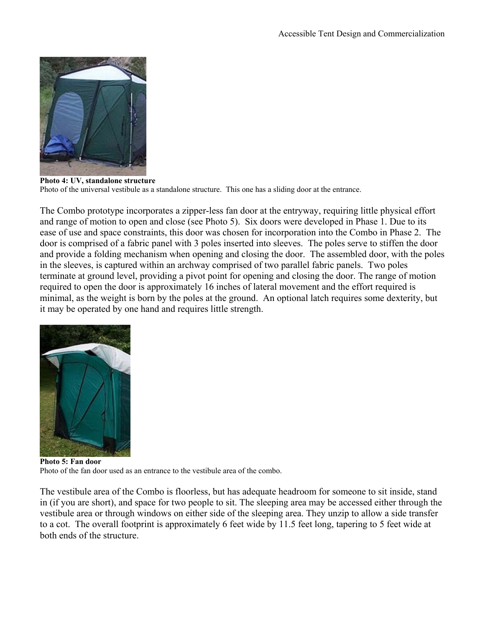

**Photo 4: UV, standalone structure**  Photo of the universal vestibule as a standalone structure. This one has a sliding door at the entrance.

The Combo prototype incorporates a zipper-less fan door at the entryway, requiring little physical effort and range of motion to open and close (see Photo 5). Six doors were developed in Phase 1. Due to its ease of use and space constraints, this door was chosen for incorporation into the Combo in Phase 2. The door is comprised of a fabric panel with 3 poles inserted into sleeves. The poles serve to stiffen the door and provide a folding mechanism when opening and closing the door. The assembled door, with the poles in the sleeves, is captured within an archway comprised of two parallel fabric panels. Two poles terminate at ground level, providing a pivot point for opening and closing the door. The range of motion required to open the door is approximately 16 inches of lateral movement and the effort required is minimal, as the weight is born by the poles at the ground. An optional latch requires some dexterity, but it may be operated by one hand and requires little strength.



**Photo 5: Fan door**  Photo of the fan door used as an entrance to the vestibule area of the combo.

The vestibule area of the Combo is floorless, but has adequate headroom for someone to sit inside, stand in (if you are short), and space for two people to sit. The sleeping area may be accessed either through the vestibule area or through windows on either side of the sleeping area. They unzip to allow a side transfer to a cot. The overall footprint is approximately 6 feet wide by 11.5 feet long, tapering to 5 feet wide at both ends of the structure.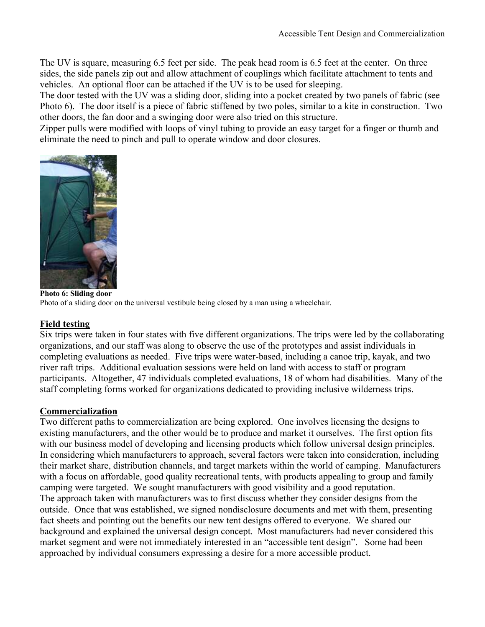The UV is square, measuring 6.5 feet per side. The peak head room is 6.5 feet at the center. On three sides, the side panels zip out and allow attachment of couplings which facilitate attachment to tents and vehicles. An optional floor can be attached if the UV is to be used for sleeping.

The door tested with the UV was a sliding door, sliding into a pocket created by two panels of fabric (see Photo 6). The door itself is a piece of fabric stiffened by two poles, similar to a kite in construction. Two other doors, the fan door and a swinging door were also tried on this structure.

Zipper pulls were modified with loops of vinyl tubing to provide an easy target for a finger or thumb and eliminate the need to pinch and pull to operate window and door closures.



**Photo 6: Sliding door**  Photo of a sliding door on the universal vestibule being closed by a man using a wheelchair.

## **Field testing**

Six trips were taken in four states with five different organizations. The trips were led by the collaborating organizations, and our staff was along to observe the use of the prototypes and assist individuals in completing evaluations as needed. Five trips were water-based, including a canoe trip, kayak, and two river raft trips. Additional evaluation sessions were held on land with access to staff or program participants. Altogether, 47 individuals completed evaluations, 18 of whom had disabilities. Many of the staff completing forms worked for organizations dedicated to providing inclusive wilderness trips.

## **Commercialization**

Two different paths to commercialization are being explored. One involves licensing the designs to existing manufacturers, and the other would be to produce and market it ourselves. The first option fits with our business model of developing and licensing products which follow universal design principles. In considering which manufacturers to approach, several factors were taken into consideration, including their market share, distribution channels, and target markets within the world of camping. Manufacturers with a focus on affordable, good quality recreational tents, with products appealing to group and family camping were targeted. We sought manufacturers with good visibility and a good reputation. The approach taken with manufacturers was to first discuss whether they consider designs from the outside. Once that was established, we signed nondisclosure documents and met with them, presenting fact sheets and pointing out the benefits our new tent designs offered to everyone. We shared our background and explained the universal design concept. Most manufacturers had never considered this market segment and were not immediately interested in an "accessible tent design". Some had been approached by individual consumers expressing a desire for a more accessible product.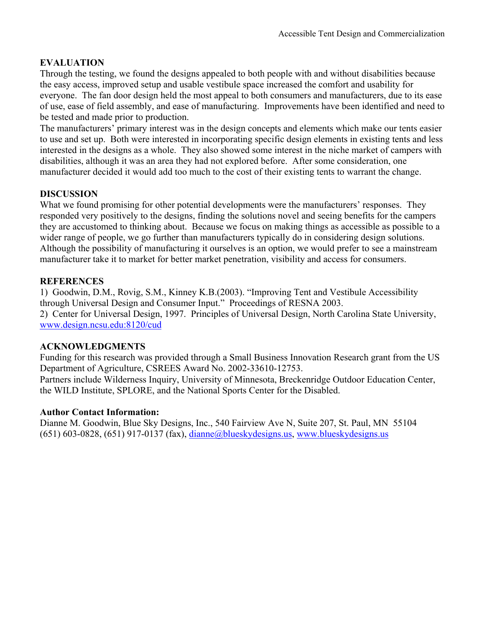# **EVALUATION**

Through the testing, we found the designs appealed to both people with and without disabilities because the easy access, improved setup and usable vestibule space increased the comfort and usability for everyone. The fan door design held the most appeal to both consumers and manufacturers, due to its ease of use, ease of field assembly, and ease of manufacturing. Improvements have been identified and need to be tested and made prior to production.

The manufacturers' primary interest was in the design concepts and elements which make our tents easier to use and set up. Both were interested in incorporating specific design elements in existing tents and less interested in the designs as a whole. They also showed some interest in the niche market of campers with disabilities, although it was an area they had not explored before. After some consideration, one manufacturer decided it would add too much to the cost of their existing tents to warrant the change.

# **DISCUSSION**

What we found promising for other potential developments were the manufacturers' responses. They responded very positively to the designs, finding the solutions novel and seeing benefits for the campers they are accustomed to thinking about. Because we focus on making things as accessible as possible to a wider range of people, we go further than manufacturers typically do in considering design solutions. Although the possibility of manufacturing it ourselves is an option, we would prefer to see a mainstream manufacturer take it to market for better market penetration, visibility and access for consumers.

# **REFERENCES**

1) Goodwin, D.M., Rovig, S.M., Kinney K.B.(2003). "Improving Tent and Vestibule Accessibility through Universal Design and Consumer Input." Proceedings of RESNA 2003. 2) Center for Universal Design, 1997. Principles of Universal Design, North Carolina State University, www.design.ncsu.edu:8120/cud

## **ACKNOWLEDGMENTS**

Funding for this research was provided through a Small Business Innovation Research grant from the US Department of Agriculture, CSREES Award No. 2002-33610-12753. Partners include Wilderness Inquiry, University of Minnesota, Breckenridge Outdoor Education Center, the WILD Institute, SPLORE, and the National Sports Center for the Disabled.

## **Author Contact Information:**

Dianne M. Goodwin, Blue Sky Designs, Inc., 540 Fairview Ave N, Suite 207, St. Paul, MN 55104  $(651)$  603-0828,  $(651)$  917-0137 (fax), dianne@blueskydesigns.us, www.blueskydesigns.us